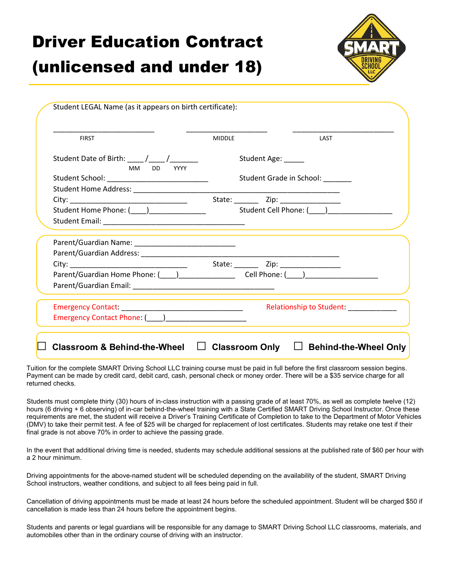## Driver Education Contract

## (unlicensed and under 18)



| <b>FIRST</b>                                                                                                                                                                                                                   | <b>MIDDLE</b> | LAST                                                                                                                 |
|--------------------------------------------------------------------------------------------------------------------------------------------------------------------------------------------------------------------------------|---------------|----------------------------------------------------------------------------------------------------------------------|
| Student Date of Birth: ____ /____ /_______<br>MM DD YYYY                                                                                                                                                                       |               | Student Age: _____                                                                                                   |
| Student School: ____________________________                                                                                                                                                                                   |               | Student Grade in School: _______                                                                                     |
|                                                                                                                                                                                                                                |               |                                                                                                                      |
|                                                                                                                                                                                                                                |               |                                                                                                                      |
| Student Home Phone: (Changel Community Communication Student Cell Phone: (Changel Communication Student Cell Phone: (Changel Communication Student Cell Phone: (Changel Communication Student Cell Phone: (Changel Communicati |               |                                                                                                                      |
|                                                                                                                                                                                                                                |               |                                                                                                                      |
|                                                                                                                                                                                                                                |               |                                                                                                                      |
|                                                                                                                                                                                                                                |               |                                                                                                                      |
|                                                                                                                                                                                                                                |               |                                                                                                                      |
| Parent/Guardian Home Phone: (1992) [2012] Cell Phone: (2022) [2022] [2022] [2022] [2022] [2022] [2022] [2022] [                                                                                                                |               |                                                                                                                      |
|                                                                                                                                                                                                                                |               |                                                                                                                      |
|                                                                                                                                                                                                                                |               | Relationship to Student:                                                                                             |
| Emergency Contact Phone: (____)_______________________                                                                                                                                                                         |               |                                                                                                                      |
|                                                                                                                                                                                                                                |               | <u> 1989 - Johann Stein, marwolaethau a bhann an t-Amhain an t-Amhain an t-Amhain an t-Amhain an t-Amhain an t-A</u> |

Tuition for the complete SMART Driving School LLC training course must be paid in full before the first classroom session begins. Payment can be made by credit card, debit card, cash, personal check or money order. There will be a \$35 service charge for all returned checks.

Students must complete thirty (30) hours of in-class instruction with a passing grade of at least 70%, as well as complete twelve (12) hours (6 driving + 6 observing) of in-car behind-the-wheel training with a State Certified SMART Driving School Instructor. Once these requirements are met, the student will receive a Driver's Training Certificate of Completion to take to the Department of Motor Vehicles (DMV) to take their permit test. A fee of \$25 will be charged for replacement of lost certificates. Students may retake one test if their final grade is not above 70% in order to achieve the passing grade.

In the event that additional driving time is needed, students may schedule additional sessions at the published rate of \$60 per hour with a 2 hour minimum.

Driving appointments for the above-named student will be scheduled depending on the availability of the student, SMART Driving School instructors, weather conditions, and subject to all fees being paid in full.

Cancellation of driving appointments must be made at least 24 hours before the scheduled appointment. Student will be charged \$50 if cancellation is made less than 24 hours before the appointment begins.

Students and parents or legal guardians will be responsible for any damage to SMART Driving School LLC classrooms, materials, and automobiles other than in the ordinary course of driving with an instructor.